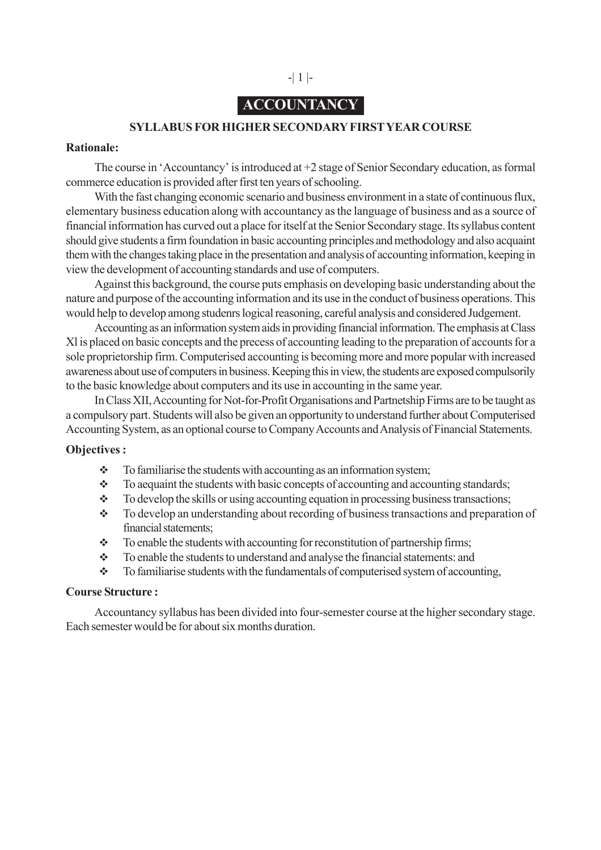# **ACCOUNTANCY**

-| 1 |-

### **SYLLABUS FOR HIGHER SECONDARY FIRST YEAR COURSE**

### **Rationale:**

The course in 'Accountancy' is introduced at +2 stage of Senior Secondary education, as formal commerce education is provided after first ten years of schooling.

With the fast changing economic scenario and business environment in a state of continuous flux, elementary business education along with accountancy as the language of business and as a source of financial information has curved out a place for itself at the Senior Secondary stage. Its syllabus content should give students a firm foundation in basic accounting principles and methodology and also acquaint them with the changes taking place in the presentation and analysis of accounting information, keeping in view the development of accounting standards and use of computers.

Against this background, the course puts emphasis on developing basic understanding about the nature and purpose of the accounting information and its use in the conduct of business operations. This would help to develop among studenrs logical reasoning, careful analysis and considered Judgement.

Accounting as an information system aids in providing financial information. The emphasis at Class Xl is placed on basic concepts and the precess of accounting leading to the preparation of accounts for a sole proprietorship firm. Computerised accounting is becoming more and more popular with increased awareness about use of computers in business. Keeping this in view, the students are exposed compulsorily to the basic knowledge about computers and its use in accounting in the same year.

In Class XII, Accounting for Not-for-Profit Organisations and Partnetship Firms are to be taught as a compulsory part. Students will also be given an opportunity to understand further about Computerised Accounting System, as an optional course to Company Accounts and Analysis of Financial Statements.

### **Objectives :**

- $\div$  To familiarise the students with accounting as an information system;
- $\cdot \cdot$  To aequaint the students with basic concepts of accounting and accounting standards;
- $\bullet$  To develop the skills or using accounting equation in processing business transactions;
- \* To develop an understanding about recording of business transactions and preparation of financial statements;
- $\div$  To enable the students with accounting for reconstitution of partnership firms;
- \* To enable the students to understand and analyse the financial statements: and
- To familiarise students with the fundamentals of computerised system of accounting,

### **Course Structure :**

Accountancy syllabus has been divided into four-semester course at the higher secondary stage. Each semester would be for about six months duration.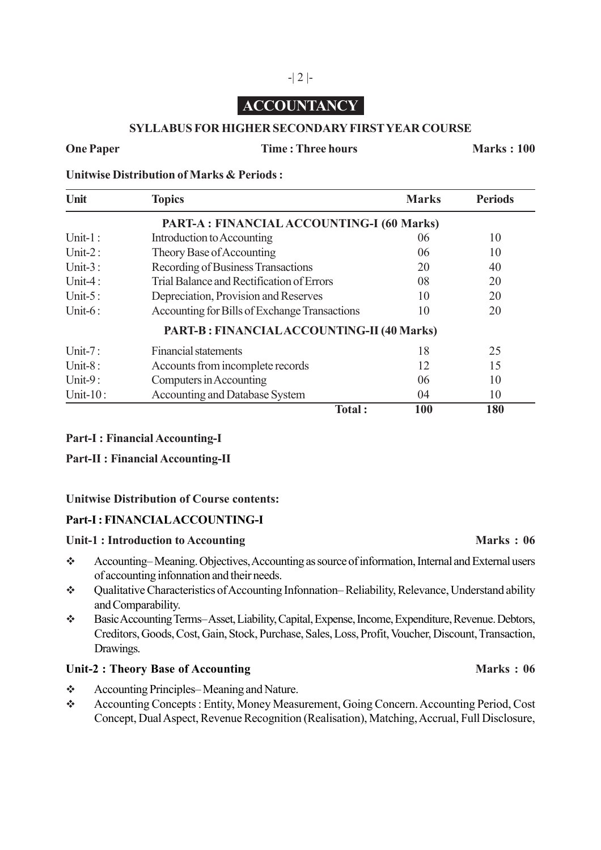# **ACCOUNTANCY**

-| 2 |-

### **SYLLABUS FOR HIGHER SECONDARY FIRST YEAR COURSE**

### **One Paper Time : Three hours Marks : 100**

**Unitwise Distribution of Marks & Periods :**

| Unit         | <b>Topics</b>                                    | <b>Marks</b> | <b>Periods</b> |
|--------------|--------------------------------------------------|--------------|----------------|
|              | PART-A : FINANCIAL ACCOUNTING-I (60 Marks)       |              |                |
| Unit- $1$ :  | Introduction to Accounting                       | 06           | 10             |
| Unit- $2:$   | Theory Base of Accounting                        | 06           | 10             |
| Unit- $3:$   | Recording of Business Transactions               | 20           | 40             |
| Unit-4:      | Trial Balance and Rectification of Errors        | 08           | 20             |
| Unit- $5$ :  | Depreciation, Provision and Reserves             | 10           | 20             |
| Unit- $6:$   | Accounting for Bills of Exchange Transactions    | 10           | 20             |
|              | <b>PART-B: FINANCIALACCOUNTING-II (40 Marks)</b> |              |                |
| Unit- $7:$   | <b>Financial statements</b>                      | 18           | 25             |
| Unit- $8:$   | Accounts from incomplete records                 | 12           | 15             |
| Unit- $9:$   | Computers in Accounting                          | 06           | 10             |
| Unit- $10$ : | <b>Accounting and Database System</b>            | 04           | 10             |
|              | Total:                                           | 100          | 180            |

### **Part-I : Financial Accounting-I**

**Part-II : Financial Accounting-II**

### **Unitwise Distribution of Course contents:**

### **Part-I : FINANCIAL ACCOUNTING-I**

### Unit-1 : Introduction to Accounting **Marks** : 06

- Accounting– Meaning. Objectives, Accounting as source of information, Internal and External users of accounting infonnation and their needs.
- Qualitative Characteristics of Accounting Infonnation– Reliability, Relevance, Understand ability and Comparability.
- Basic Accounting Terms– Asset, Liability, Capital, Expense, Income, Expenditure, Revenue. Debtors, Creditors, Goods, Cost, Gain, Stock, Purchase, Sales, Loss, Profit, Voucher, Discount, Transaction, Drawings.

### Unit-2 : Theory Base of Accounting **Marks** : 06

- Accounting Principles– Meaning and Nature.
- Accounting Concepts : Entity, Money Measurement, Going Concern. Accounting Period, Cost Concept, Dual Aspect, Revenue Recognition (Realisation), Matching, Accrual, Full Disclosure,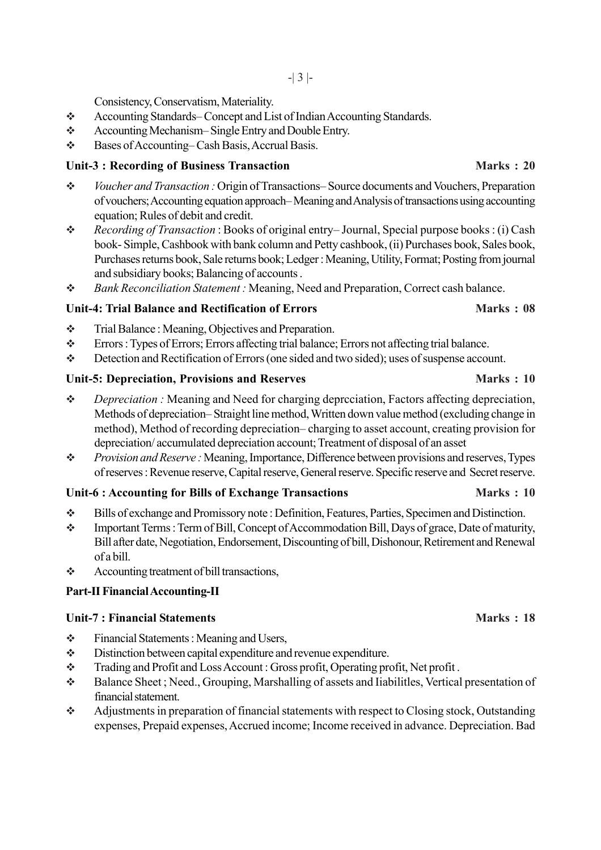Consistency, Conservatism, Materiality.

- Accounting Standards– Concept and List of Indian Accounting Standards.
- Accounting Mechanism– Single Entry and Double Entry.
- Bases of Accounting– Cash Basis, Accrual Basis.

# Unit-3 : Recording of Business Transaction **Marks : 20**

- *Voucher and Transaction :* Origin of Transactions– Source documents and Vouchers, Preparation of vouchers; Accounting equation approach– Meaning and Analysis of transactions using accounting equation; Rules of debit and credit.
- *Recording of Transaction* : Books of original entry– Journal, Special purpose books : (i) Cash book- Simple, Cashbook with bank column and Petty cashbook, (ii) Purchases book, Sales book, Purchases returns book, Sale returns book; Ledger : Meaning, Utility, Format; Posting from journal and subsidiary books; Balancing of accounts .
- *Bank Reconciliation Statement :* Meaning, Need and Preparation, Correct cash balance.

# **Unit-4: Trial Balance and Rectification of Errors Marks : 08**

- $\div$  Trial Balance : Meaning, Objectives and Preparation.
- Errors : Types of Errors; Errors affecting trial balance; Errors not affecting trial balance.
- Detection and Rectification of Errors (one sided and two sided); uses of suspense account.

# Unit-5: Depreciation, Provisions and Reserves **Marks : 10** Marks : 10

- *Depreciation :* Meaning and Need for charging deprcciation, Factors affecting depreciation, Methods of depreciation– Straight line method, Written down value method (excluding change in method), Method of recording depreciation– charging to asset account, creating provision for depreciation/ accumulated depreciation account; Treatment of disposal of an asset
- *Provision and Reserve :* Meaning, Importance, Difference between provisions and reserves, Types of reserves : Revenue reserve, Capital reserve, General reserve. Specific reserve and Secret reserve.

# **Unit-6 : Accounting for Bills of Exchange Transactions Marks : 10**

- Bills of exchange and Promissory note : Definition, Features, Parties, Specimen and Distinction.
- Important Terms : Term of Bill, Concept of Accommodation Bill, Days of grace, Date of maturity, Bill after date, Negotiation, Endorsement, Discounting of bill, Dishonour, Retirement and Renewal of a bill.
- $\triangle$  Accounting treatment of bill transactions,

# **Part-II Financial Accounting-II**

# **Unit-7 : Financial Statements Marks : 18**

- $\div$  Financial Statements : Meaning and Users,
- Distinction between capital expenditure and revenue expenditure.
- Trading and Profit and Loss Account : Gross profit, Operating profit, Net profit .
- Balance Sheet ; Need., Grouping, Marshalling of assets and Iiabilitles, Vertical presentation of financial statement.
- Adjustments in preparation of financial statements with respect to Closing stock, Outstanding expenses, Prepaid expenses, Accrued income; Income received in advance. Depreciation. Bad